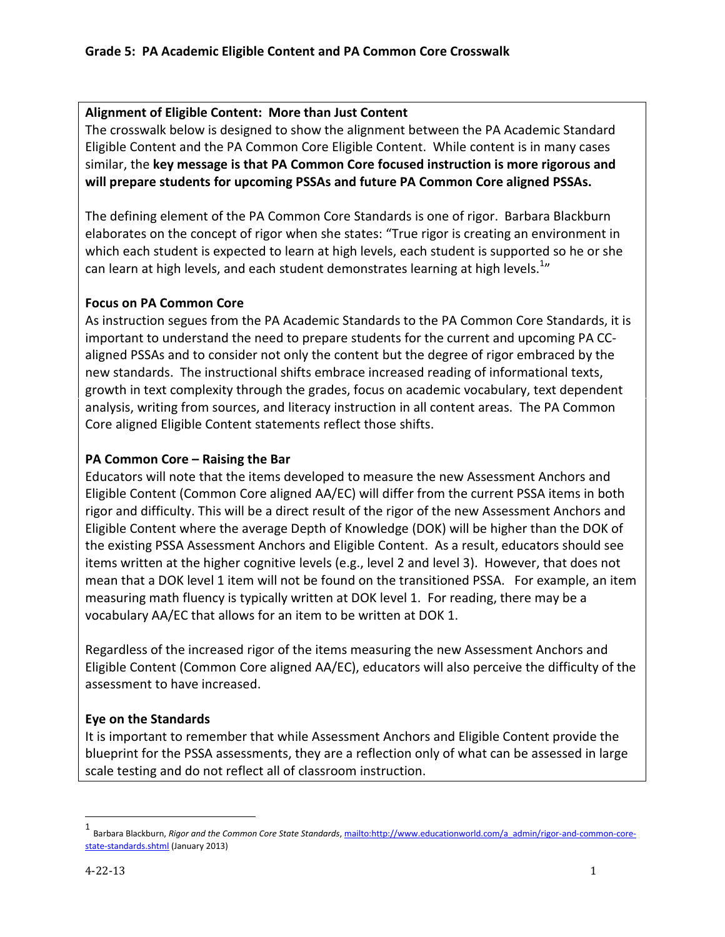## Alignment of Eligible Content: More than Just Content

The crosswalk below is designed to show the alignment between the PA Academic Standard Eligible Content and the PA Common Core Eligible Content. While content is in many cases similar, the key message is that PA Common Core focused instruction is more rigorous and will prepare students for upcoming PSSAs and future PA Common Core aligned PSSAs.

The defining element of the PA Common Core Standards is one of rigor. Barbara Blackburn elaborates on the concept of rigor when she states: "True rigor is creating an environment in which each student is expected to learn at high levels, each student is supported so he or she can learn at high levels, and each student demonstrates learning at high levels. $^{1n}$ 

## Focus on PA Common Core

As instruction segues from the PA Academic Standards to the PA Common Core Standards, it is important to understand the need to prepare students for the current and upcoming PA CCaligned PSSAs and to consider not only the content but the degree of rigor embraced by the new standards. The instructional shifts embrace increased reading of informational texts, growth in text complexity through the grades, focus on academic vocabulary, text dependent analysis, writing from sources, and literacy instruction in all content areas. The PA Common Core aligned Eligible Content statements reflect those shifts.

## PA Common Core – Raising the Bar

Educators will note that the items developed to measure the new Assessment Anchors and Eligible Content (Common Core aligned AA/EC) will differ from the current PSSA items in both rigor and difficulty. This will be a direct result of the rigor of the new Assessment Anchors and Eligible Content where the average Depth of Knowledge (DOK) will be higher than the DOK of the existing PSSA Assessment Anchors and Eligible Content. As a result, educators should see items written at the higher cognitive levels (e.g., level 2 and level 3). However, that does not mean that a DOK level 1 item will not be found on the transitioned PSSA. For example, an item measuring math fluency is typically written at DOK level 1. For reading, there may be a vocabulary AA/EC that allows for an item to be written at DOK 1.

Regardless of the increased rigor of the items measuring the new Assessment Anchors and Eligible Content (Common Core aligned AA/EC), educators will also perceive the difficulty of the assessment to have increased.

## Eye on the Standards

It is important to remember that while Assessment Anchors and Eligible Content provide the blueprint for the PSSA assessments, they are a reflection only of what can be assessed in large scale testing and do not reflect all of classroom instruction.

 $\overline{a}$ 

<sup>1</sup> Barbara Blackburn, Rigor and the Common Core State Standards, mailto:http://www.educationworld.com/a\_admin/rigor-and-common-corestate-standards.shtml (January 2013)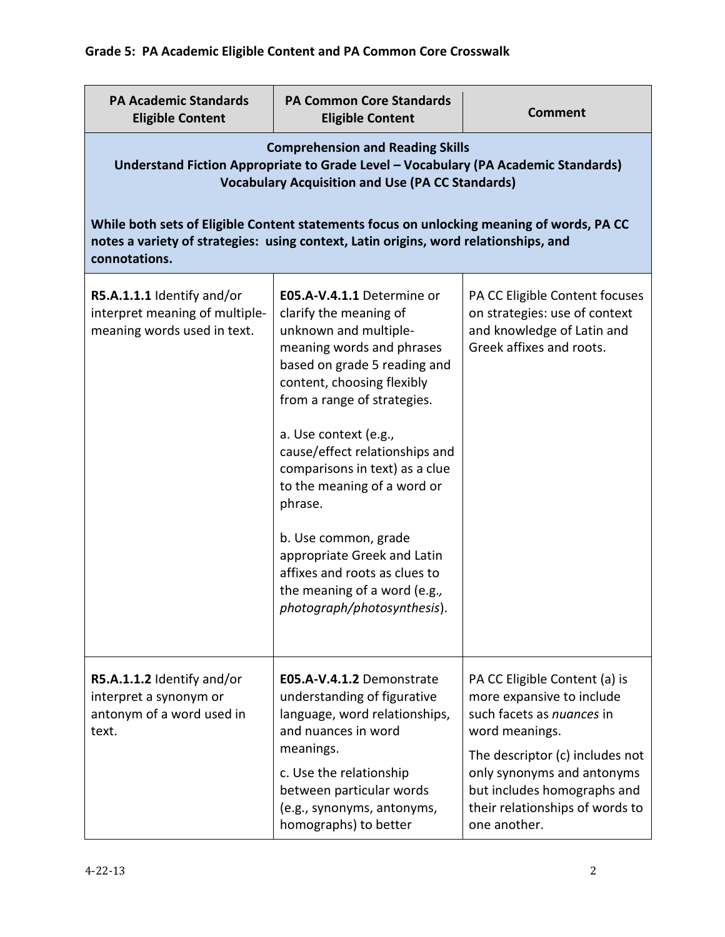| <b>PA Academic Standards</b><br><b>Eligible Content</b>                                                                                                                                                                                                                                                                                                                       | <b>PA Common Core Standards</b><br><b>Eligible Content</b>                                                                                                                                                                                                                                                                                                                                                                                                                                            | <b>Comment</b>                                                                                                                                                                                                                                               |  |
|-------------------------------------------------------------------------------------------------------------------------------------------------------------------------------------------------------------------------------------------------------------------------------------------------------------------------------------------------------------------------------|-------------------------------------------------------------------------------------------------------------------------------------------------------------------------------------------------------------------------------------------------------------------------------------------------------------------------------------------------------------------------------------------------------------------------------------------------------------------------------------------------------|--------------------------------------------------------------------------------------------------------------------------------------------------------------------------------------------------------------------------------------------------------------|--|
| <b>Comprehension and Reading Skills</b><br>Understand Fiction Appropriate to Grade Level - Vocabulary (PA Academic Standards)<br><b>Vocabulary Acquisition and Use (PA CC Standards)</b><br>While both sets of Eligible Content statements focus on unlocking meaning of words, PA CC<br>notes a variety of strategies: using context, Latin origins, word relationships, and |                                                                                                                                                                                                                                                                                                                                                                                                                                                                                                       |                                                                                                                                                                                                                                                              |  |
| connotations.                                                                                                                                                                                                                                                                                                                                                                 |                                                                                                                                                                                                                                                                                                                                                                                                                                                                                                       |                                                                                                                                                                                                                                                              |  |
| R5.A.1.1.1 Identify and/or<br>interpret meaning of multiple-<br>meaning words used in text.                                                                                                                                                                                                                                                                                   | E05.A-V.4.1.1 Determine or<br>clarify the meaning of<br>unknown and multiple-<br>meaning words and phrases<br>based on grade 5 reading and<br>content, choosing flexibly<br>from a range of strategies.<br>a. Use context (e.g.,<br>cause/effect relationships and<br>comparisons in text) as a clue<br>to the meaning of a word or<br>phrase.<br>b. Use common, grade<br>appropriate Greek and Latin<br>affixes and roots as clues to<br>the meaning of a word (e.g.,<br>photograph/photosynthesis). | PA CC Eligible Content focuses<br>on strategies: use of context<br>and knowledge of Latin and<br>Greek affixes and roots.                                                                                                                                    |  |
| R5.A.1.1.2 Identify and/or<br>interpret a synonym or<br>antonym of a word used in<br>text.                                                                                                                                                                                                                                                                                    | E05.A-V.4.1.2 Demonstrate<br>understanding of figurative<br>language, word relationships,<br>and nuances in word<br>meanings.<br>c. Use the relationship<br>between particular words<br>(e.g., synonyms, antonyms,<br>homographs) to better                                                                                                                                                                                                                                                           | PA CC Eligible Content (a) is<br>more expansive to include<br>such facets as nuances in<br>word meanings.<br>The descriptor (c) includes not<br>only synonyms and antonyms<br>but includes homographs and<br>their relationships of words to<br>one another. |  |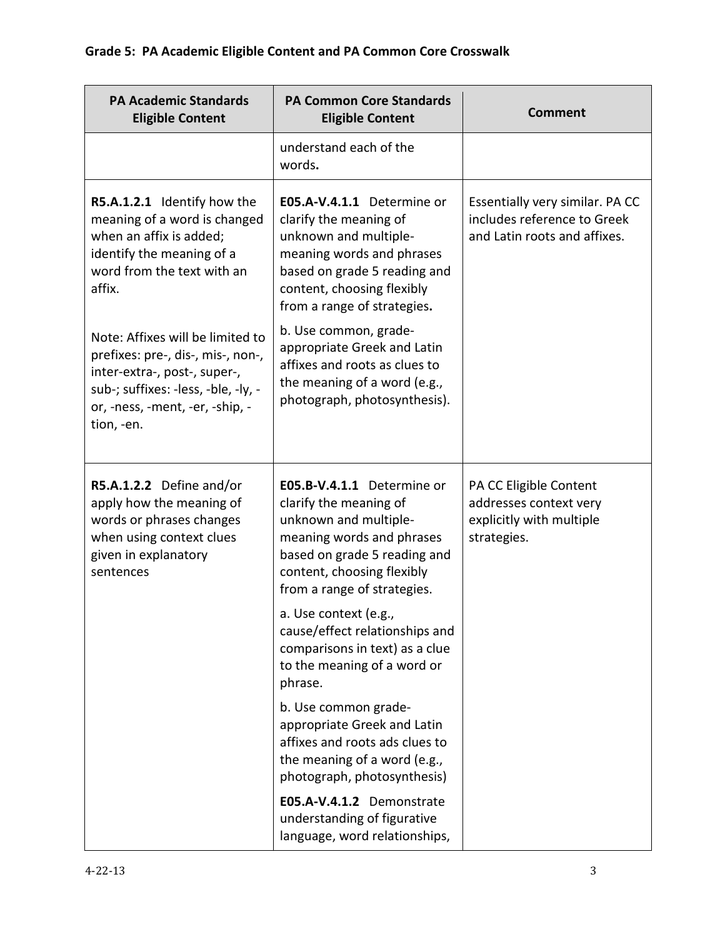| <b>PA Academic Standards</b><br><b>Eligible Content</b>                                                                                                                                       | <b>PA Common Core Standards</b><br><b>Eligible Content</b>                                                                                                                                              | <b>Comment</b>                                                                                 |
|-----------------------------------------------------------------------------------------------------------------------------------------------------------------------------------------------|---------------------------------------------------------------------------------------------------------------------------------------------------------------------------------------------------------|------------------------------------------------------------------------------------------------|
|                                                                                                                                                                                               | understand each of the<br>words.                                                                                                                                                                        |                                                                                                |
| R5.A.1.2.1 Identify how the<br>meaning of a word is changed<br>when an affix is added;<br>identify the meaning of a<br>word from the text with an<br>affix.                                   | E05.A-V.4.1.1 Determine or<br>clarify the meaning of<br>unknown and multiple-<br>meaning words and phrases<br>based on grade 5 reading and<br>content, choosing flexibly<br>from a range of strategies. | Essentially very similar. PA CC<br>includes reference to Greek<br>and Latin roots and affixes. |
| Note: Affixes will be limited to<br>prefixes: pre-, dis-, mis-, non-,<br>inter-extra-, post-, super-,<br>sub-; suffixes: -less, -ble, -ly, -<br>or, -ness, -ment, -er, -ship, -<br>tion, -en. | b. Use common, grade-<br>appropriate Greek and Latin<br>affixes and roots as clues to<br>the meaning of a word (e.g.,<br>photograph, photosynthesis).                                                   |                                                                                                |
| R5.A.1.2.2 Define and/or<br>apply how the meaning of<br>words or phrases changes<br>when using context clues<br>given in explanatory<br>sentences                                             | E05.B-V.4.1.1 Determine or<br>clarify the meaning of<br>unknown and multiple-<br>meaning words and phrases<br>based on grade 5 reading and<br>content, choosing flexibly<br>from a range of strategies. | PA CC Eligible Content<br>addresses context very<br>explicitly with multiple<br>strategies.    |
|                                                                                                                                                                                               | a. Use context (e.g.,<br>cause/effect relationships and<br>comparisons in text) as a clue<br>to the meaning of a word or<br>phrase.                                                                     |                                                                                                |
|                                                                                                                                                                                               | b. Use common grade-<br>appropriate Greek and Latin<br>affixes and roots ads clues to<br>the meaning of a word (e.g.,<br>photograph, photosynthesis)                                                    |                                                                                                |
|                                                                                                                                                                                               | E05.A-V.4.1.2 Demonstrate<br>understanding of figurative<br>language, word relationships,                                                                                                               |                                                                                                |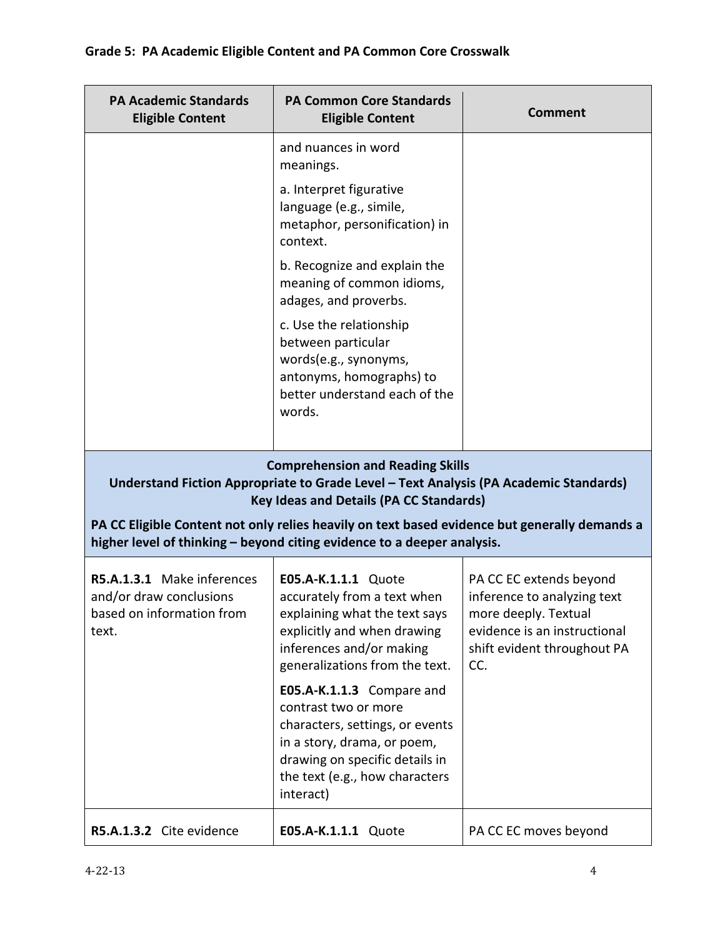| <b>PA Academic Standards</b><br><b>Eligible Content</b>                                     | <b>PA Common Core Standards</b><br><b>Eligible Content</b>                                                                                                                                                                                                                                                                                                     | <b>Comment</b>                                                                                                                                       |
|---------------------------------------------------------------------------------------------|----------------------------------------------------------------------------------------------------------------------------------------------------------------------------------------------------------------------------------------------------------------------------------------------------------------------------------------------------------------|------------------------------------------------------------------------------------------------------------------------------------------------------|
|                                                                                             | and nuances in word<br>meanings.                                                                                                                                                                                                                                                                                                                               |                                                                                                                                                      |
|                                                                                             | a. Interpret figurative<br>language (e.g., simile,<br>metaphor, personification) in<br>context.                                                                                                                                                                                                                                                                |                                                                                                                                                      |
|                                                                                             | b. Recognize and explain the<br>meaning of common idioms,<br>adages, and proverbs.                                                                                                                                                                                                                                                                             |                                                                                                                                                      |
|                                                                                             | c. Use the relationship<br>between particular<br>words(e.g., synonyms,<br>antonyms, homographs) to<br>better understand each of the<br>words.                                                                                                                                                                                                                  |                                                                                                                                                      |
|                                                                                             | <b>Comprehension and Reading Skills</b><br>Understand Fiction Appropriate to Grade Level - Text Analysis (PA Academic Standards)<br><b>Key Ideas and Details (PA CC Standards)</b><br>PA CC Eligible Content not only relies heavily on text based evidence but generally demands a<br>higher level of thinking - beyond citing evidence to a deeper analysis. |                                                                                                                                                      |
| R5.A.1.3.1 Make inferences<br>and/or draw conclusions<br>based on information from<br>text. | E05.A-K.1.1.1 Quote<br>accurately from a text when<br>explaining what the text says<br>explicitly and when drawing<br>inferences and/or making<br>generalizations from the text.                                                                                                                                                                               | PA CC EC extends beyond<br>inference to analyzing text<br>more deeply. Textual<br>evidence is an instructional<br>shift evident throughout PA<br>CC. |
|                                                                                             | E05.A-K.1.1.3 Compare and<br>contrast two or more<br>characters, settings, or events<br>in a story, drama, or poem,<br>drawing on specific details in<br>the text (e.g., how characters<br>interact)                                                                                                                                                           |                                                                                                                                                      |
| R5.A.1.3.2 Cite evidence                                                                    | E05.A-K.1.1.1 Quote                                                                                                                                                                                                                                                                                                                                            | PA CC EC moves beyond                                                                                                                                |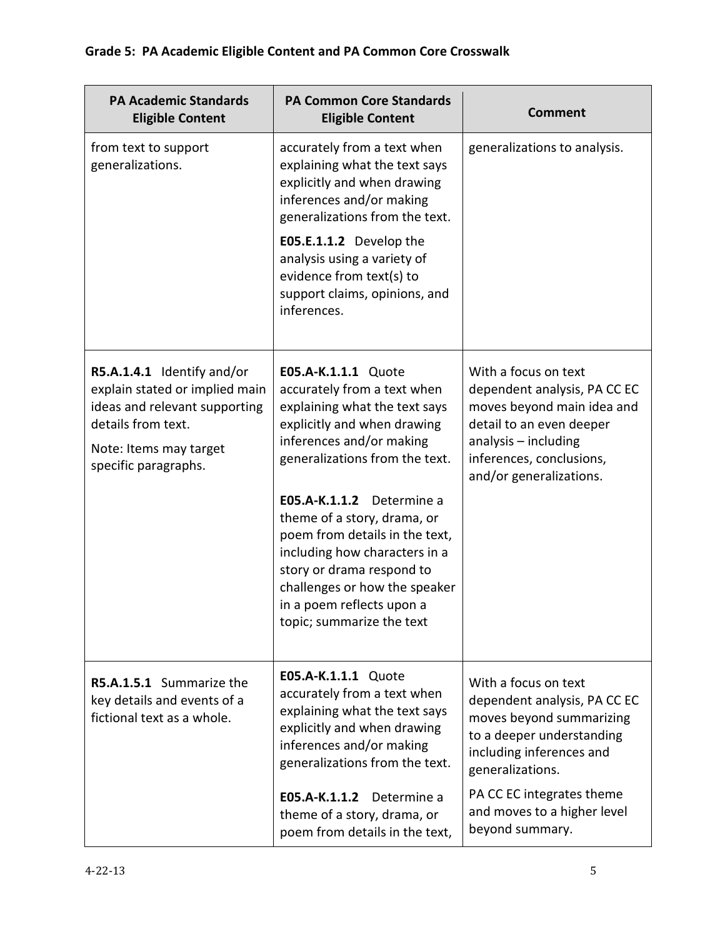| <b>PA Academic Standards</b><br><b>Eligible Content</b>                                                                                                               | <b>PA Common Core Standards</b><br><b>Eligible Content</b>                                                                                                                                                                                                                                                                                                                                                                              | <b>Comment</b>                                                                                                                                                                                                                               |
|-----------------------------------------------------------------------------------------------------------------------------------------------------------------------|-----------------------------------------------------------------------------------------------------------------------------------------------------------------------------------------------------------------------------------------------------------------------------------------------------------------------------------------------------------------------------------------------------------------------------------------|----------------------------------------------------------------------------------------------------------------------------------------------------------------------------------------------------------------------------------------------|
| from text to support<br>generalizations.                                                                                                                              | accurately from a text when<br>explaining what the text says<br>explicitly and when drawing<br>inferences and/or making<br>generalizations from the text.<br>E05.E.1.1.2 Develop the<br>analysis using a variety of<br>evidence from text(s) to<br>support claims, opinions, and<br>inferences.                                                                                                                                         | generalizations to analysis.                                                                                                                                                                                                                 |
| R5.A.1.4.1 Identify and/or<br>explain stated or implied main<br>ideas and relevant supporting<br>details from text.<br>Note: Items may target<br>specific paragraphs. | E05.A-K.1.1.1 Quote<br>accurately from a text when<br>explaining what the text says<br>explicitly and when drawing<br>inferences and/or making<br>generalizations from the text.<br>E05.A-K.1.1.2 Determine a<br>theme of a story, drama, or<br>poem from details in the text,<br>including how characters in a<br>story or drama respond to<br>challenges or how the speaker<br>in a poem reflects upon a<br>topic; summarize the text | With a focus on text<br>dependent analysis, PA CC EC<br>moves beyond main idea and<br>detail to an even deeper<br>analysis - including<br>inferences, conclusions,<br>and/or generalizations.                                                |
| R5.A.1.5.1 Summarize the<br>key details and events of a<br>fictional text as a whole.                                                                                 | E05.A-K.1.1.1 Quote<br>accurately from a text when<br>explaining what the text says<br>explicitly and when drawing<br>inferences and/or making<br>generalizations from the text.<br>E05.A-K.1.1.2 Determine a<br>theme of a story, drama, or<br>poem from details in the text,                                                                                                                                                          | With a focus on text<br>dependent analysis, PA CC EC<br>moves beyond summarizing<br>to a deeper understanding<br>including inferences and<br>generalizations.<br>PA CC EC integrates theme<br>and moves to a higher level<br>beyond summary. |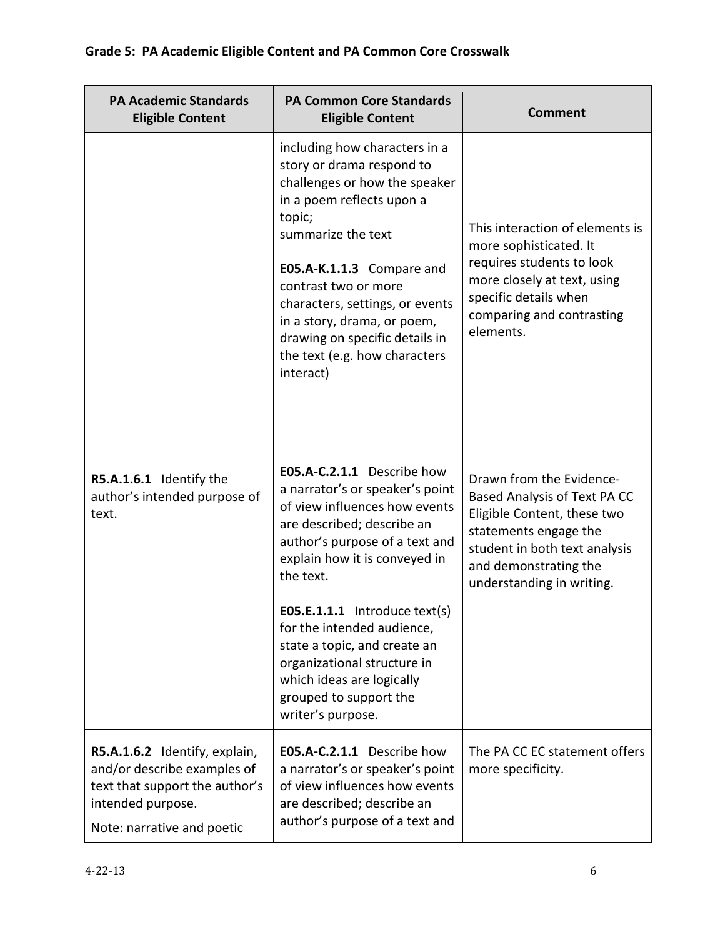| <b>PA Academic Standards</b><br><b>Eligible Content</b>                                                                                           | <b>PA Common Core Standards</b><br><b>Eligible Content</b>                                                                                                                                                                                                                                                                                                                                                               | <b>Comment</b>                                                                                                                                                                                          |
|---------------------------------------------------------------------------------------------------------------------------------------------------|--------------------------------------------------------------------------------------------------------------------------------------------------------------------------------------------------------------------------------------------------------------------------------------------------------------------------------------------------------------------------------------------------------------------------|---------------------------------------------------------------------------------------------------------------------------------------------------------------------------------------------------------|
|                                                                                                                                                   | including how characters in a<br>story or drama respond to<br>challenges or how the speaker<br>in a poem reflects upon a<br>topic;<br>summarize the text<br>E05.A-K.1.1.3 Compare and<br>contrast two or more<br>characters, settings, or events<br>in a story, drama, or poem,<br>drawing on specific details in<br>the text (e.g. how characters<br>interact)                                                          | This interaction of elements is<br>more sophisticated. It<br>requires students to look<br>more closely at text, using<br>specific details when<br>comparing and contrasting<br>elements.                |
| R5.A.1.6.1 Identify the<br>author's intended purpose of<br>text.                                                                                  | E05.A-C.2.1.1 Describe how<br>a narrator's or speaker's point<br>of view influences how events<br>are described; describe an<br>author's purpose of a text and<br>explain how it is conveyed in<br>the text.<br>$E05.E.1.1.1$ Introduce text(s)<br>for the intended audience,<br>state a topic, and create an<br>organizational structure in<br>which ideas are logically<br>grouped to support the<br>writer's purpose. | Drawn from the Evidence-<br>Based Analysis of Text PA CC<br>Eligible Content, these two<br>statements engage the<br>student in both text analysis<br>and demonstrating the<br>understanding in writing. |
| R5.A.1.6.2 Identify, explain,<br>and/or describe examples of<br>text that support the author's<br>intended purpose.<br>Note: narrative and poetic | E05.A-C.2.1.1 Describe how<br>a narrator's or speaker's point<br>of view influences how events<br>are described; describe an<br>author's purpose of a text and                                                                                                                                                                                                                                                           | The PA CC EC statement offers<br>more specificity.                                                                                                                                                      |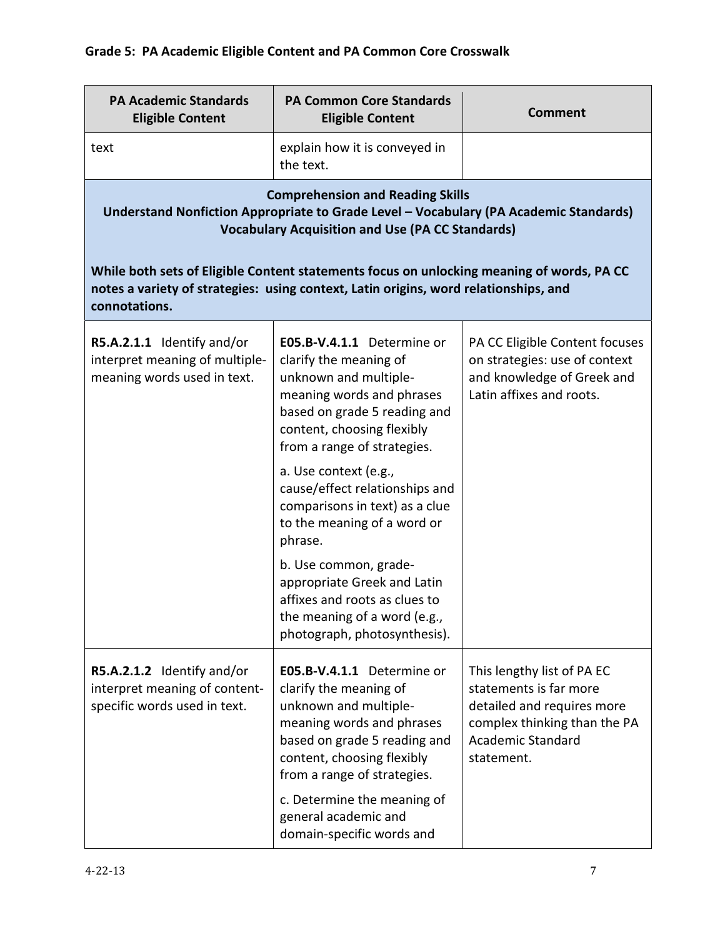| <b>PA Academic Standards</b><br><b>Eligible Content</b>                                     | <b>PA Common Core Standards</b><br><b>Eligible Content</b>                                                                                                                                                                                                                                  | <b>Comment</b>                                                                                                                                               |
|---------------------------------------------------------------------------------------------|---------------------------------------------------------------------------------------------------------------------------------------------------------------------------------------------------------------------------------------------------------------------------------------------|--------------------------------------------------------------------------------------------------------------------------------------------------------------|
| text                                                                                        | explain how it is conveyed in<br>the text.                                                                                                                                                                                                                                                  |                                                                                                                                                              |
|                                                                                             | <b>Comprehension and Reading Skills</b><br>Understand Nonfiction Appropriate to Grade Level - Vocabulary (PA Academic Standards)<br><b>Vocabulary Acquisition and Use (PA CC Standards)</b>                                                                                                 |                                                                                                                                                              |
| connotations.                                                                               | While both sets of Eligible Content statements focus on unlocking meaning of words, PA CC<br>notes a variety of strategies: using context, Latin origins, word relationships, and                                                                                                           |                                                                                                                                                              |
| R5.A.2.1.1 Identify and/or<br>interpret meaning of multiple-<br>meaning words used in text. | E05.B-V.4.1.1 Determine or<br>clarify the meaning of<br>unknown and multiple-<br>meaning words and phrases<br>based on grade 5 reading and<br>content, choosing flexibly<br>from a range of strategies.                                                                                     | PA CC Eligible Content focuses<br>on strategies: use of context<br>and knowledge of Greek and<br>Latin affixes and roots.                                    |
|                                                                                             | a. Use context (e.g.,<br>cause/effect relationships and<br>comparisons in text) as a clue<br>to the meaning of a word or<br>phrase.                                                                                                                                                         |                                                                                                                                                              |
|                                                                                             | b. Use common, grade-<br>appropriate Greek and Latin<br>affixes and roots as clues to<br>the meaning of a word (e.g.,<br>photograph, photosynthesis).                                                                                                                                       |                                                                                                                                                              |
| R5.A.2.1.2 Identify and/or<br>interpret meaning of content-<br>specific words used in text. | E05.B-V.4.1.1 Determine or<br>clarify the meaning of<br>unknown and multiple-<br>meaning words and phrases<br>based on grade 5 reading and<br>content, choosing flexibly<br>from a range of strategies.<br>c. Determine the meaning of<br>general academic and<br>domain-specific words and | This lengthy list of PA EC<br>statements is far more<br>detailed and requires more<br>complex thinking than the PA<br><b>Academic Standard</b><br>statement. |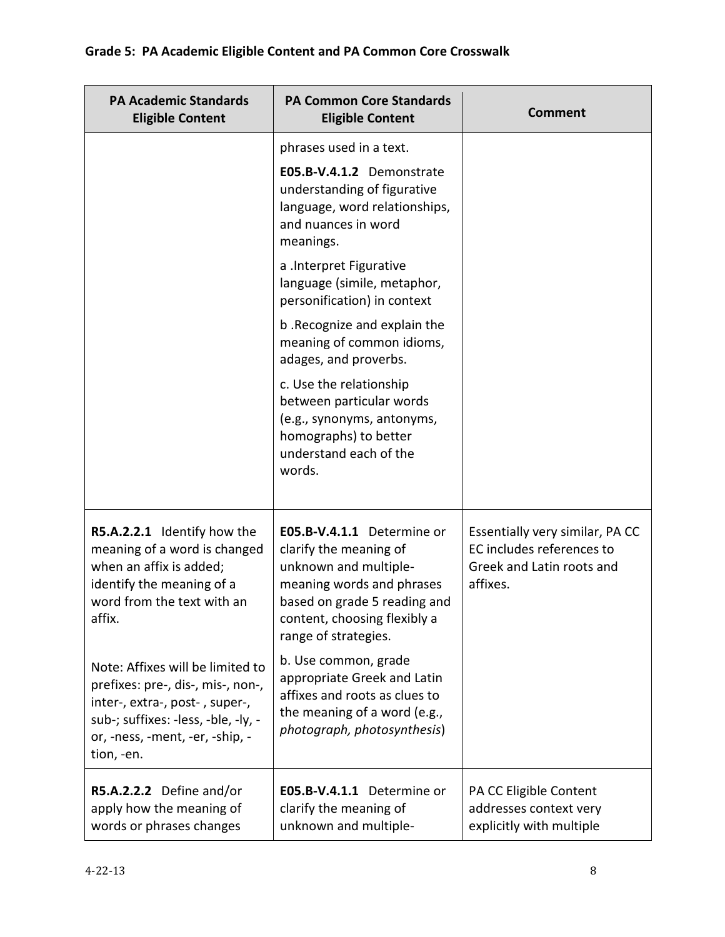| <b>PA Academic Standards</b><br><b>Eligible Content</b>                                                                                                                                         | <b>PA Common Core Standards</b><br><b>Eligible Content</b>                                                                                                                                         | <b>Comment</b>                                                                                        |
|-------------------------------------------------------------------------------------------------------------------------------------------------------------------------------------------------|----------------------------------------------------------------------------------------------------------------------------------------------------------------------------------------------------|-------------------------------------------------------------------------------------------------------|
|                                                                                                                                                                                                 | phrases used in a text.<br>E05.B-V.4.1.2 Demonstrate<br>understanding of figurative<br>language, word relationships,<br>and nuances in word<br>meanings.                                           |                                                                                                       |
|                                                                                                                                                                                                 | a .Interpret Figurative<br>language (simile, metaphor,<br>personification) in context                                                                                                              |                                                                                                       |
|                                                                                                                                                                                                 | b. Recognize and explain the<br>meaning of common idioms,<br>adages, and proverbs.                                                                                                                 |                                                                                                       |
|                                                                                                                                                                                                 | c. Use the relationship<br>between particular words<br>(e.g., synonyms, antonyms,<br>homographs) to better<br>understand each of the<br>words.                                                     |                                                                                                       |
| R5.A.2.2.1 Identify how the<br>meaning of a word is changed<br>when an affix is added;<br>identify the meaning of a<br>word from the text with an<br>affix.                                     | E05.B-V.4.1.1 Determine or<br>clarify the meaning of<br>unknown and multiple-<br>meaning words and phrases<br>based on grade 5 reading and<br>content, choosing flexibly a<br>range of strategies. | Essentially very similar, PA CC<br>EC includes references to<br>Greek and Latin roots and<br>affixes. |
| Note: Affixes will be limited to<br>prefixes: pre-, dis-, mis-, non-,<br>inter-, extra-, post-, super-,<br>sub-; suffixes: -less, -ble, -ly, -<br>or, -ness, -ment, -er, -ship, -<br>tion, -en. | b. Use common, grade<br>appropriate Greek and Latin<br>affixes and roots as clues to<br>the meaning of a word (e.g.,<br>photograph, photosynthesis)                                                |                                                                                                       |
| R5.A.2.2.2 Define and/or<br>apply how the meaning of<br>words or phrases changes                                                                                                                | E05.B-V.4.1.1 Determine or<br>clarify the meaning of<br>unknown and multiple-                                                                                                                      | PA CC Eligible Content<br>addresses context very<br>explicitly with multiple                          |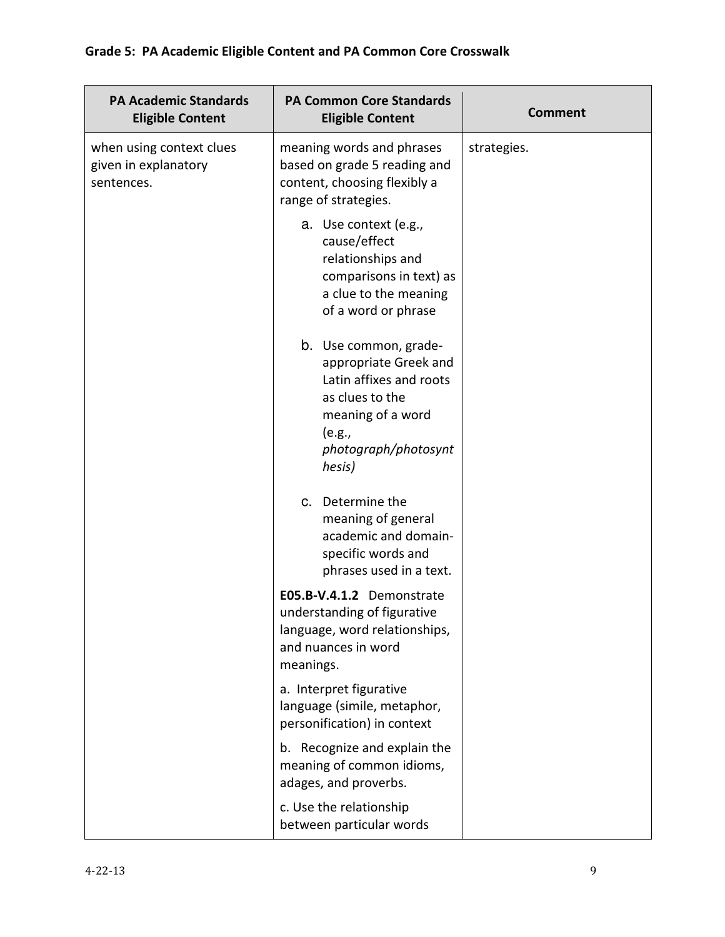| <b>PA Academic Standards</b><br><b>Eligible Content</b>        | <b>PA Common Core Standards</b><br><b>Eligible Content</b>                                                                                                    | <b>Comment</b> |
|----------------------------------------------------------------|---------------------------------------------------------------------------------------------------------------------------------------------------------------|----------------|
| when using context clues<br>given in explanatory<br>sentences. | meaning words and phrases<br>based on grade 5 reading and<br>content, choosing flexibly a<br>range of strategies.                                             | strategies.    |
|                                                                | a. Use context (e.g.,<br>cause/effect<br>relationships and<br>comparisons in text) as<br>a clue to the meaning<br>of a word or phrase                         |                |
|                                                                | b. Use common, grade-<br>appropriate Greek and<br>Latin affixes and roots<br>as clues to the<br>meaning of a word<br>(e.g.,<br>photograph/photosynt<br>hesis) |                |
|                                                                | c. Determine the<br>meaning of general<br>academic and domain-<br>specific words and<br>phrases used in a text.                                               |                |
|                                                                | E05.B-V.4.1.2 Demonstrate<br>understanding of figurative<br>language, word relationships,<br>and nuances in word<br>meanings.                                 |                |
|                                                                | a. Interpret figurative<br>language (simile, metaphor,<br>personification) in context                                                                         |                |
|                                                                | b. Recognize and explain the<br>meaning of common idioms,<br>adages, and proverbs.                                                                            |                |
|                                                                | c. Use the relationship<br>between particular words                                                                                                           |                |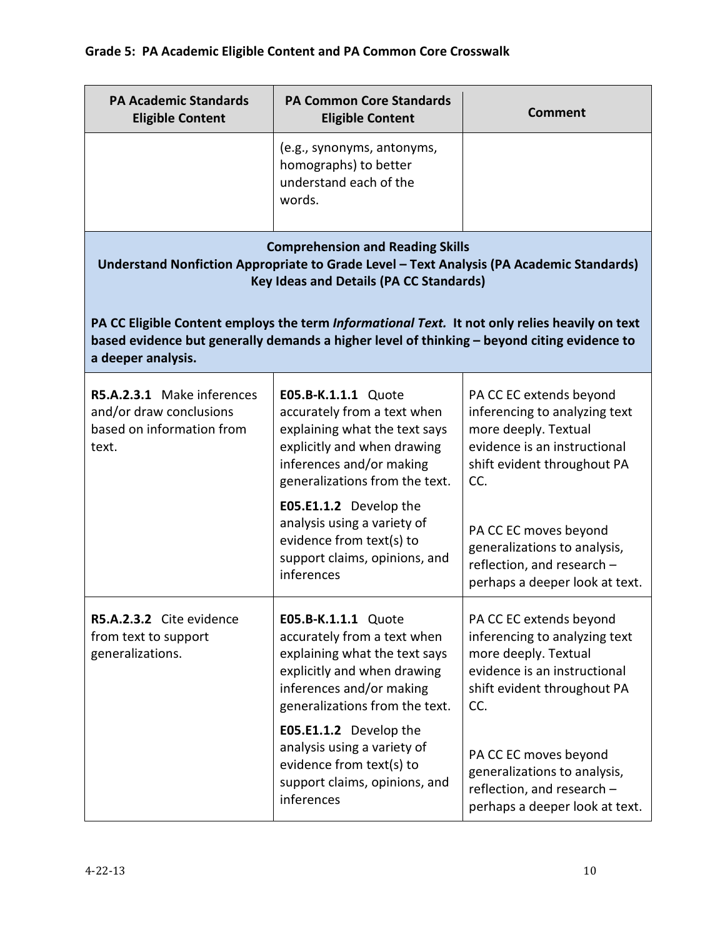| <b>PA Academic Standards</b><br><b>Eligible Content</b>                                                                                                                               | <b>PA Common Core Standards</b><br><b>Eligible Content</b>                                                                                                                                                                                                                                                           | <b>Comment</b>                                                                                                                                                                                                                                                                  |
|---------------------------------------------------------------------------------------------------------------------------------------------------------------------------------------|----------------------------------------------------------------------------------------------------------------------------------------------------------------------------------------------------------------------------------------------------------------------------------------------------------------------|---------------------------------------------------------------------------------------------------------------------------------------------------------------------------------------------------------------------------------------------------------------------------------|
|                                                                                                                                                                                       | (e.g., synonyms, antonyms,<br>homographs) to better<br>understand each of the<br>words.                                                                                                                                                                                                                              |                                                                                                                                                                                                                                                                                 |
| <b>Comprehension and Reading Skills</b><br>Understand Nonfiction Appropriate to Grade Level - Text Analysis (PA Academic Standards)<br><b>Key Ideas and Details (PA CC Standards)</b> |                                                                                                                                                                                                                                                                                                                      |                                                                                                                                                                                                                                                                                 |
| a deeper analysis.                                                                                                                                                                    | PA CC Eligible Content employs the term Informational Text. It not only relies heavily on text<br>based evidence but generally demands a higher level of thinking - beyond citing evidence to                                                                                                                        |                                                                                                                                                                                                                                                                                 |
| R5.A.2.3.1 Make inferences<br>and/or draw conclusions<br>based on information from<br>text.                                                                                           | E05.B-K.1.1.1 Quote<br>accurately from a text when<br>explaining what the text says<br>explicitly and when drawing<br>inferences and/or making<br>generalizations from the text.<br>E05.E1.1.2 Develop the<br>analysis using a variety of<br>evidence from text(s) to<br>support claims, opinions, and<br>inferences | PA CC EC extends beyond<br>inferencing to analyzing text<br>more deeply. Textual<br>evidence is an instructional<br>shift evident throughout PA<br>CC.<br>PA CC EC moves beyond<br>generalizations to analysis,<br>reflection, and research -<br>perhaps a deeper look at text. |
| R5.A.2.3.2 Cite evidence<br>from text to support<br>generalizations.                                                                                                                  | E05.B-K.1.1.1 Quote<br>accurately from a text when<br>explaining what the text says<br>explicitly and when drawing<br>inferences and/or making<br>generalizations from the text.<br>E05.E1.1.2 Develop the<br>analysis using a variety of<br>evidence from text(s) to<br>support claims, opinions, and<br>inferences | PA CC EC extends beyond<br>inferencing to analyzing text<br>more deeply. Textual<br>evidence is an instructional<br>shift evident throughout PA<br>CC.<br>PA CC EC moves beyond<br>generalizations to analysis,<br>reflection, and research -                                   |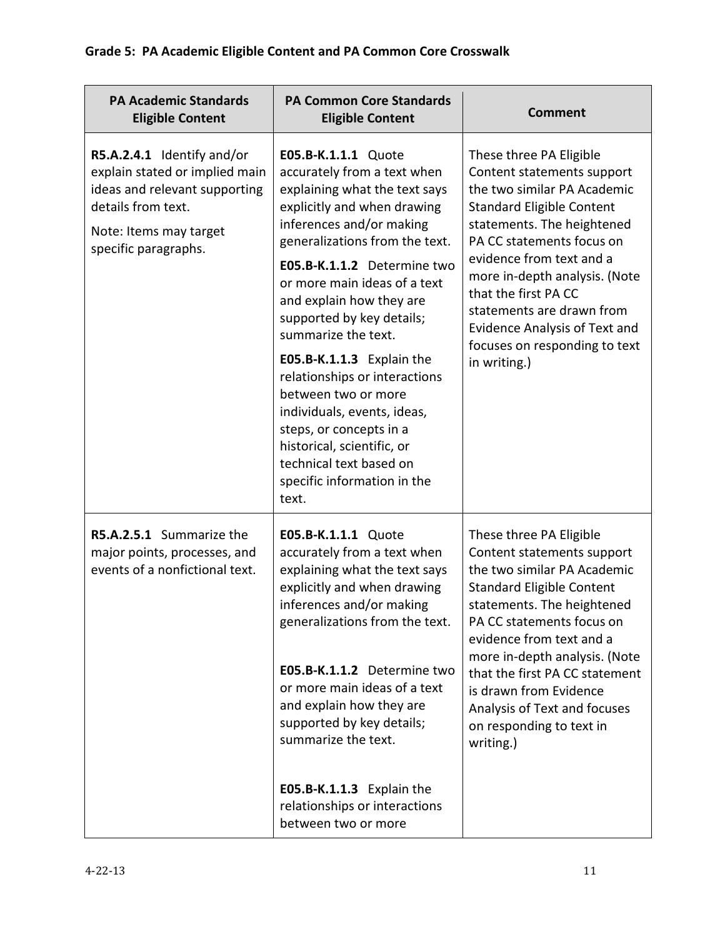| <b>PA Academic Standards</b><br><b>Eligible Content</b>                                                                                                               | <b>PA Common Core Standards</b><br><b>Eligible Content</b>                                                                                                                                                                                                                                                                                                                                                                                                                                                                                                                      | <b>Comment</b>                                                                                                                                                                                                                                                                                                                                                                                 |
|-----------------------------------------------------------------------------------------------------------------------------------------------------------------------|---------------------------------------------------------------------------------------------------------------------------------------------------------------------------------------------------------------------------------------------------------------------------------------------------------------------------------------------------------------------------------------------------------------------------------------------------------------------------------------------------------------------------------------------------------------------------------|------------------------------------------------------------------------------------------------------------------------------------------------------------------------------------------------------------------------------------------------------------------------------------------------------------------------------------------------------------------------------------------------|
| R5.A.2.4.1 Identify and/or<br>explain stated or implied main<br>ideas and relevant supporting<br>details from text.<br>Note: Items may target<br>specific paragraphs. | E05.B-K.1.1.1 Quote<br>accurately from a text when<br>explaining what the text says<br>explicitly and when drawing<br>inferences and/or making<br>generalizations from the text.<br>E05.B-K.1.1.2 Determine two<br>or more main ideas of a text<br>and explain how they are<br>supported by key details;<br>summarize the text.<br>E05.B-K.1.1.3 Explain the<br>relationships or interactions<br>between two or more<br>individuals, events, ideas,<br>steps, or concepts in a<br>historical, scientific, or<br>technical text based on<br>specific information in the<br>text. | These three PA Eligible<br>Content statements support<br>the two similar PA Academic<br><b>Standard Eligible Content</b><br>statements. The heightened<br>PA CC statements focus on<br>evidence from text and a<br>more in-depth analysis. (Note<br>that the first PA CC<br>statements are drawn from<br><b>Evidence Analysis of Text and</b><br>focuses on responding to text<br>in writing.) |
| R5.A.2.5.1 Summarize the<br>major points, processes, and<br>events of a nonfictional text.                                                                            | E05.B-K.1.1.1 Quote<br>accurately from a text when<br>explaining what the text says<br>explicitly and when drawing<br>inferences and/or making<br>generalizations from the text.<br>E05.B-K.1.1.2 Determine two<br>or more main ideas of a text<br>and explain how they are<br>supported by key details;<br>summarize the text.<br>E05.B-K.1.1.3 Explain the<br>relationships or interactions<br>between two or more                                                                                                                                                            | These three PA Eligible<br>Content statements support<br>the two similar PA Academic<br><b>Standard Eligible Content</b><br>statements. The heightened<br>PA CC statements focus on<br>evidence from text and a<br>more in-depth analysis. (Note<br>that the first PA CC statement<br>is drawn from Evidence<br>Analysis of Text and focuses<br>on responding to text in<br>writing.)          |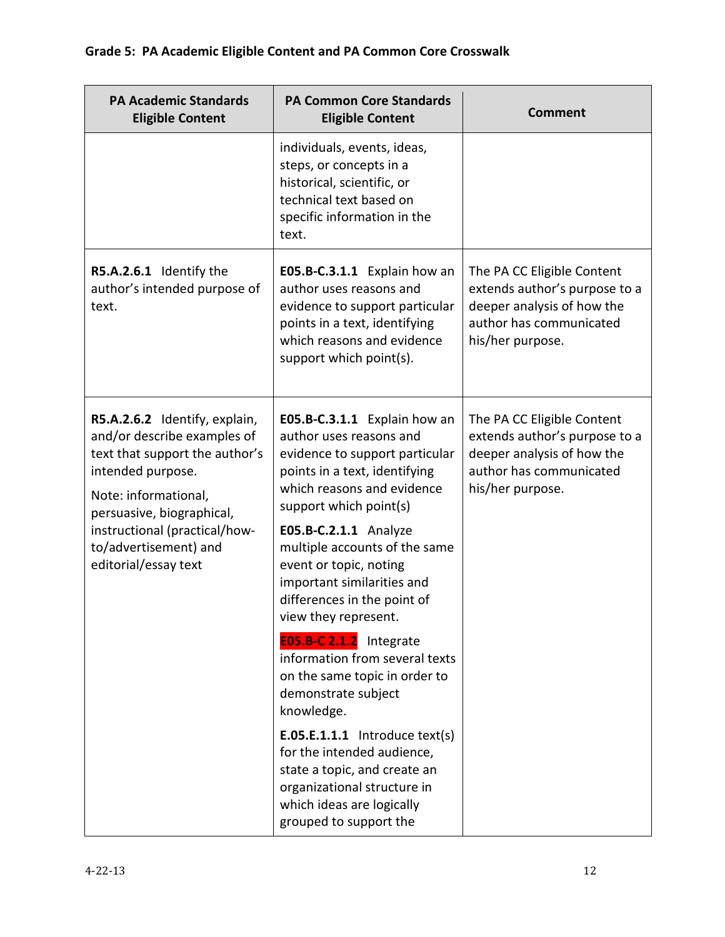| <b>PA Academic Standards</b><br><b>Eligible Content</b>                                                                                                                                                                                                    | <b>PA Common Core Standards</b><br><b>Eligible Content</b>                                                                                                                                                                                                                                                                                                                                                                                                                                                                                                                                                                                                                             | <b>Comment</b>                                                                                                                           |
|------------------------------------------------------------------------------------------------------------------------------------------------------------------------------------------------------------------------------------------------------------|----------------------------------------------------------------------------------------------------------------------------------------------------------------------------------------------------------------------------------------------------------------------------------------------------------------------------------------------------------------------------------------------------------------------------------------------------------------------------------------------------------------------------------------------------------------------------------------------------------------------------------------------------------------------------------------|------------------------------------------------------------------------------------------------------------------------------------------|
|                                                                                                                                                                                                                                                            | individuals, events, ideas,<br>steps, or concepts in a<br>historical, scientific, or<br>technical text based on<br>specific information in the<br>text.                                                                                                                                                                                                                                                                                                                                                                                                                                                                                                                                |                                                                                                                                          |
| R5.A.2.6.1 Identify the<br>author's intended purpose of<br>text.                                                                                                                                                                                           | E05.B-C.3.1.1 Explain how an<br>author uses reasons and<br>evidence to support particular<br>points in a text, identifying<br>which reasons and evidence<br>support which point(s).                                                                                                                                                                                                                                                                                                                                                                                                                                                                                                    | The PA CC Eligible Content<br>extends author's purpose to a<br>deeper analysis of how the<br>author has communicated<br>his/her purpose. |
| R5.A.2.6.2 Identify, explain,<br>and/or describe examples of<br>text that support the author's<br>intended purpose.<br>Note: informational,<br>persuasive, biographical,<br>instructional (practical/how-<br>to/advertisement) and<br>editorial/essay text | E05.B-C.3.1.1 Explain how an<br>author uses reasons and<br>evidence to support particular<br>points in a text, identifying<br>which reasons and evidence<br>support which point(s)<br>E05.B-C.2.1.1 Analyze<br>multiple accounts of the same<br>event or topic, noting<br>important similarities and<br>differences in the point of<br>view they represent.<br>E05.B-C 2.1.2 Integrate<br>information from several texts<br>on the same topic in order to<br>demonstrate subject<br>knowledge.<br>$E.05.E.1.1.1$ Introduce text(s)<br>for the intended audience,<br>state a topic, and create an<br>organizational structure in<br>which ideas are logically<br>grouped to support the | The PA CC Eligible Content<br>extends author's purpose to a<br>deeper analysis of how the<br>author has communicated<br>his/her purpose. |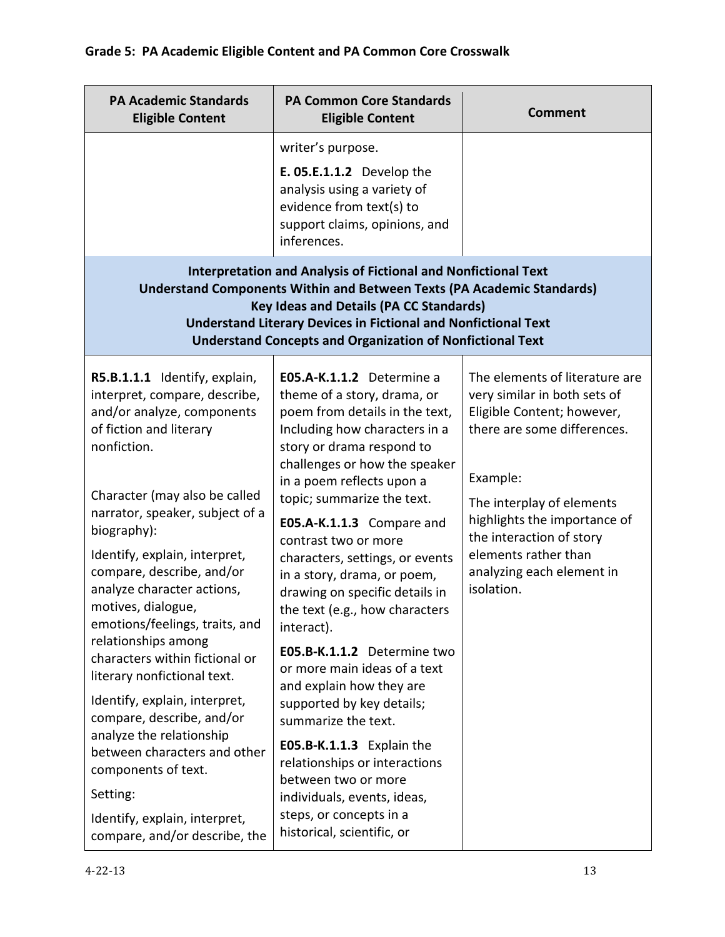| <b>PA Academic Standards</b><br><b>Eligible Content</b>                                                                                                                                                                                                                                                                                                                                                                                                                                                                                                    | <b>PA Common Core Standards</b><br><b>Eligible Content</b>                                                                                                                                                                                                                                                                                                                                                                                                                                                                                                                                   | <b>Comment</b>                                                                                                                                                       |
|------------------------------------------------------------------------------------------------------------------------------------------------------------------------------------------------------------------------------------------------------------------------------------------------------------------------------------------------------------------------------------------------------------------------------------------------------------------------------------------------------------------------------------------------------------|----------------------------------------------------------------------------------------------------------------------------------------------------------------------------------------------------------------------------------------------------------------------------------------------------------------------------------------------------------------------------------------------------------------------------------------------------------------------------------------------------------------------------------------------------------------------------------------------|----------------------------------------------------------------------------------------------------------------------------------------------------------------------|
|                                                                                                                                                                                                                                                                                                                                                                                                                                                                                                                                                            | writer's purpose.<br><b>E. 05.E.1.1.2</b> Develop the<br>analysis using a variety of<br>evidence from text(s) to<br>support claims, opinions, and<br>inferences.                                                                                                                                                                                                                                                                                                                                                                                                                             |                                                                                                                                                                      |
| <b>Interpretation and Analysis of Fictional and Nonfictional Text</b><br><b>Understand Components Within and Between Texts (PA Academic Standards)</b><br><b>Key Ideas and Details (PA CC Standards)</b><br><b>Understand Literary Devices in Fictional and Nonfictional Text</b><br><b>Understand Concepts and Organization of Nonfictional Text</b>                                                                                                                                                                                                      |                                                                                                                                                                                                                                                                                                                                                                                                                                                                                                                                                                                              |                                                                                                                                                                      |
| R5.B.1.1.1 Identify, explain,<br>interpret, compare, describe,<br>and/or analyze, components<br>of fiction and literary<br>nonfiction.                                                                                                                                                                                                                                                                                                                                                                                                                     | E05.A-K.1.1.2 Determine a<br>theme of a story, drama, or<br>poem from details in the text,<br>Including how characters in a<br>story or drama respond to<br>challenges or how the speaker                                                                                                                                                                                                                                                                                                                                                                                                    | The elements of literature are<br>very similar in both sets of<br>Eligible Content; however,<br>there are some differences.                                          |
| Character (may also be called<br>narrator, speaker, subject of a<br>biography):<br>Identify, explain, interpret,<br>compare, describe, and/or<br>analyze character actions,<br>motives, dialogue,<br>emotions/feelings, traits, and<br>relationships among<br>characters within fictional or<br>literary nonfictional text.<br>Identify, explain, interpret,<br>compare, describe, and/or<br>analyze the relationship<br>between characters and other<br>components of text.<br>Setting:<br>Identify, explain, interpret,<br>compare, and/or describe, the | in a poem reflects upon a<br>topic; summarize the text.<br>E05.A-K.1.1.3 Compare and<br>contrast two or more<br>characters, settings, or events<br>in a story, drama, or poem,<br>drawing on specific details in<br>the text (e.g., how characters<br>interact).<br>E05.B-K.1.1.2 Determine two<br>or more main ideas of a text<br>and explain how they are<br>supported by key details;<br>summarize the text.<br>E05.B-K.1.1.3 Explain the<br>relationships or interactions<br>between two or more<br>individuals, events, ideas,<br>steps, or concepts in a<br>historical, scientific, or | Example:<br>The interplay of elements<br>highlights the importance of<br>the interaction of story<br>elements rather than<br>analyzing each element in<br>isolation. |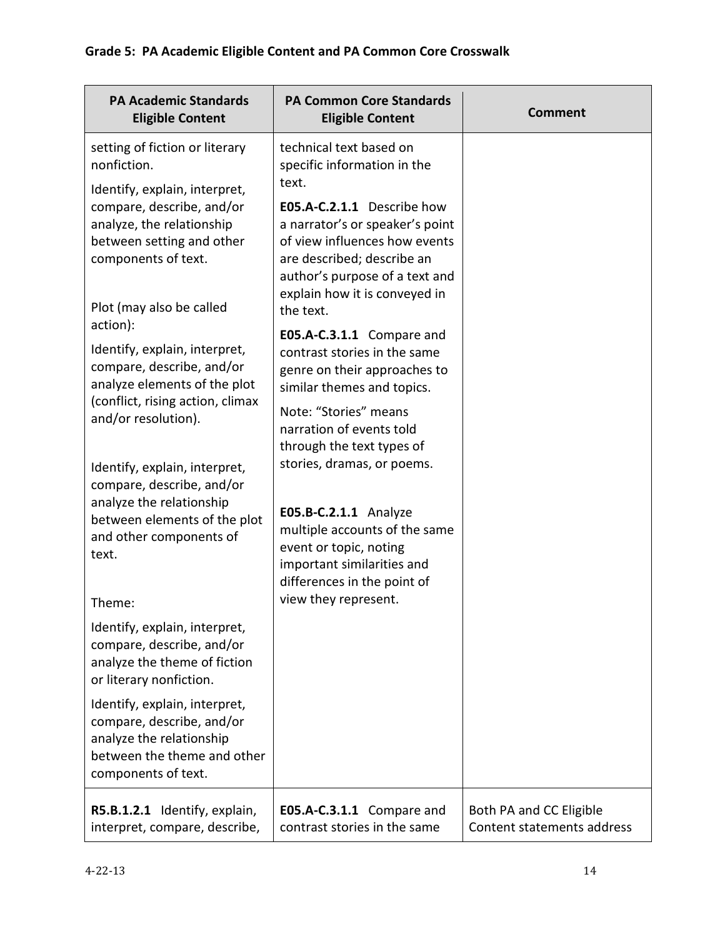| <b>PA Academic Standards</b><br><b>Eligible Content</b>                                                                                               | <b>PA Common Core Standards</b><br><b>Eligible Content</b>                                                                                                                                                | <b>Comment</b>                                        |
|-------------------------------------------------------------------------------------------------------------------------------------------------------|-----------------------------------------------------------------------------------------------------------------------------------------------------------------------------------------------------------|-------------------------------------------------------|
| setting of fiction or literary<br>nonfiction.<br>Identify, explain, interpret,                                                                        | technical text based on<br>specific information in the<br>text.                                                                                                                                           |                                                       |
| compare, describe, and/or<br>analyze, the relationship<br>between setting and other<br>components of text.                                            | E05.A-C.2.1.1 Describe how<br>a narrator's or speaker's point<br>of view influences how events<br>are described; describe an<br>author's purpose of a text and<br>explain how it is conveyed in           |                                                       |
| Plot (may also be called<br>action):                                                                                                                  | the text.                                                                                                                                                                                                 |                                                       |
| Identify, explain, interpret,<br>compare, describe, and/or<br>analyze elements of the plot<br>(conflict, rising action, climax<br>and/or resolution). | E05.A-C.3.1.1 Compare and<br>contrast stories in the same<br>genre on their approaches to<br>similar themes and topics.<br>Note: "Stories" means<br>narration of events told<br>through the text types of |                                                       |
| Identify, explain, interpret,<br>compare, describe, and/or<br>analyze the relationship                                                                | stories, dramas, or poems.                                                                                                                                                                                |                                                       |
| between elements of the plot<br>and other components of<br>text.                                                                                      | E05.B-C.2.1.1 Analyze<br>multiple accounts of the same<br>event or topic, noting<br>important similarities and<br>differences in the point of                                                             |                                                       |
| Theme:                                                                                                                                                | view they represent.                                                                                                                                                                                      |                                                       |
| Identify, explain, interpret,<br>compare, describe, and/or<br>analyze the theme of fiction<br>or literary nonfiction.                                 |                                                                                                                                                                                                           |                                                       |
| Identify, explain, interpret,<br>compare, describe, and/or<br>analyze the relationship<br>between the theme and other<br>components of text.          |                                                                                                                                                                                                           |                                                       |
| R5.B.1.2.1 Identify, explain,<br>interpret, compare, describe,                                                                                        | E05.A-C.3.1.1 Compare and<br>contrast stories in the same                                                                                                                                                 | Both PA and CC Eligible<br>Content statements address |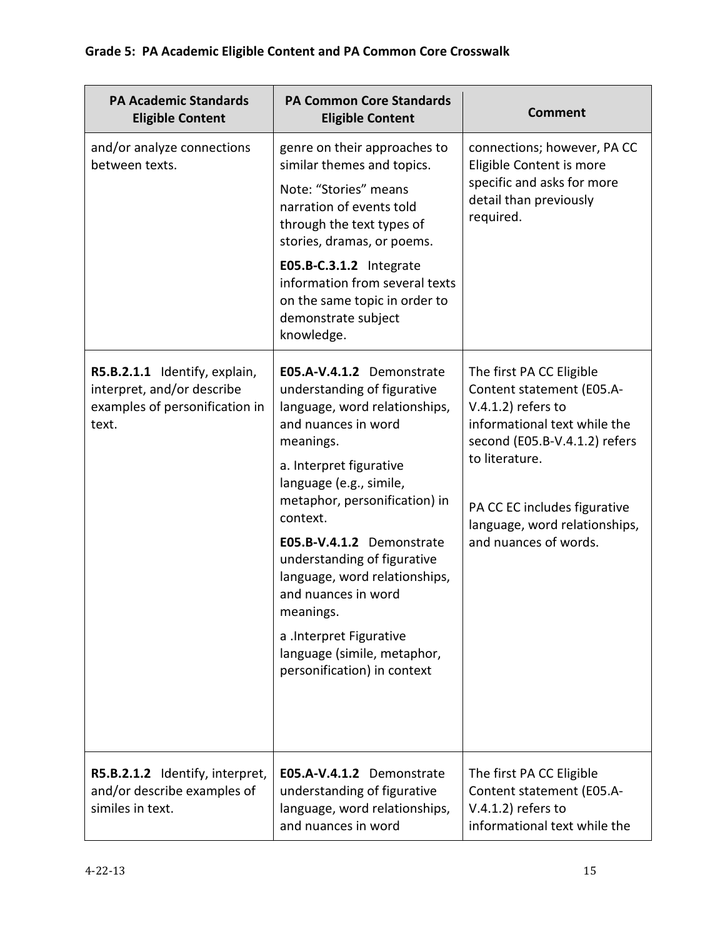| <b>PA Academic Standards</b><br><b>Eligible Content</b>                                                | <b>PA Common Core Standards</b><br><b>Eligible Content</b>                                                                                                                                                                                                                                                                                                                                                                                                 | <b>Comment</b>                                                                                                                                                                                                                                              |
|--------------------------------------------------------------------------------------------------------|------------------------------------------------------------------------------------------------------------------------------------------------------------------------------------------------------------------------------------------------------------------------------------------------------------------------------------------------------------------------------------------------------------------------------------------------------------|-------------------------------------------------------------------------------------------------------------------------------------------------------------------------------------------------------------------------------------------------------------|
| and/or analyze connections<br>between texts.                                                           | genre on their approaches to<br>similar themes and topics.<br>Note: "Stories" means<br>narration of events told<br>through the text types of<br>stories, dramas, or poems.<br>E05.B-C.3.1.2 Integrate<br>information from several texts<br>on the same topic in order to<br>demonstrate subject<br>knowledge.                                                                                                                                              | connections; however, PA CC<br>Eligible Content is more<br>specific and asks for more<br>detail than previously<br>required.                                                                                                                                |
| R5.B.2.1.1 Identify, explain,<br>interpret, and/or describe<br>examples of personification in<br>text. | E05.A-V.4.1.2 Demonstrate<br>understanding of figurative<br>language, word relationships,<br>and nuances in word<br>meanings.<br>a. Interpret figurative<br>language (e.g., simile,<br>metaphor, personification) in<br>context.<br>E05.B-V.4.1.2 Demonstrate<br>understanding of figurative<br>language, word relationships,<br>and nuances in word<br>meanings.<br>a .Interpret Figurative<br>language (simile, metaphor,<br>personification) in context | The first PA CC Eligible<br>Content statement (E05.A-<br>$V.4.1.2$ ) refers to<br>informational text while the<br>second (E05.B-V.4.1.2) refers<br>to literature.<br>PA CC EC includes figurative<br>language, word relationships,<br>and nuances of words. |
| R5.B.2.1.2 Identify, interpret,<br>and/or describe examples of<br>similes in text.                     | E05.A-V.4.1.2 Demonstrate<br>understanding of figurative<br>language, word relationships,<br>and nuances in word                                                                                                                                                                                                                                                                                                                                           | The first PA CC Eligible<br>Content statement (E05.A-<br>$V.4.1.2$ ) refers to<br>informational text while the                                                                                                                                              |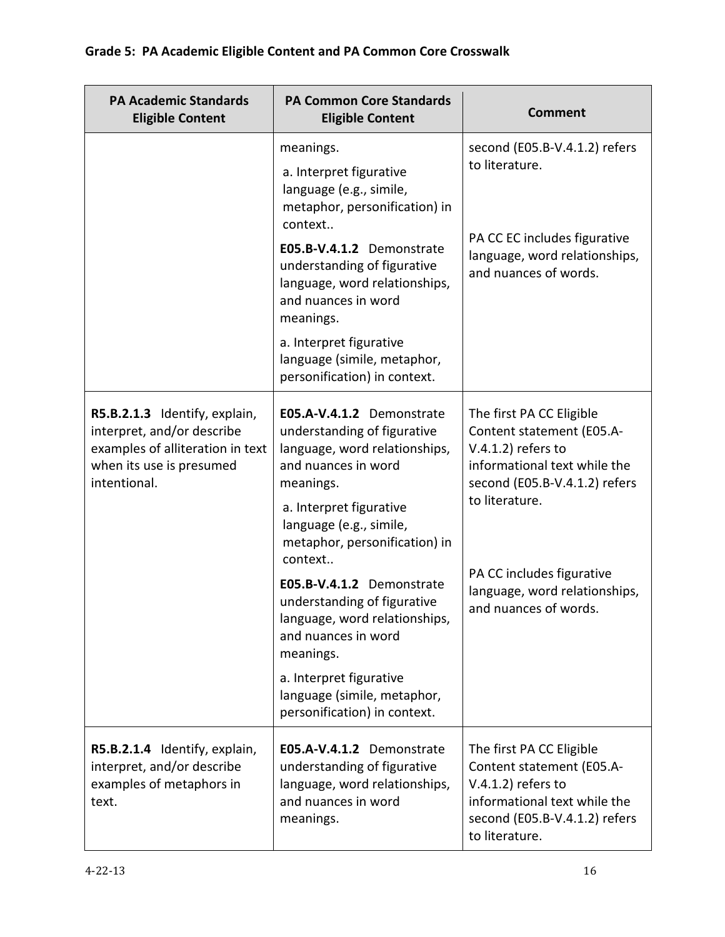| <b>PA Academic Standards</b><br><b>Eligible Content</b>                                                                                     | <b>PA Common Core Standards</b><br><b>Eligible Content</b>                                                                                                                                                                                                                                                                             | <b>Comment</b>                                                                                                                                                                                                                  |
|---------------------------------------------------------------------------------------------------------------------------------------------|----------------------------------------------------------------------------------------------------------------------------------------------------------------------------------------------------------------------------------------------------------------------------------------------------------------------------------------|---------------------------------------------------------------------------------------------------------------------------------------------------------------------------------------------------------------------------------|
|                                                                                                                                             | meanings.<br>a. Interpret figurative<br>language (e.g., simile,<br>metaphor, personification) in<br>context<br>E05.B-V.4.1.2 Demonstrate<br>understanding of figurative<br>language, word relationships,<br>and nuances in word<br>meanings.<br>a. Interpret figurative<br>language (simile, metaphor,<br>personification) in context. | second (E05.B-V.4.1.2) refers<br>to literature.<br>PA CC EC includes figurative<br>language, word relationships,<br>and nuances of words.                                                                                       |
| R5.B.2.1.3 Identify, explain,<br>interpret, and/or describe<br>examples of alliteration in text<br>when its use is presumed<br>intentional. | E05.A-V.4.1.2 Demonstrate<br>understanding of figurative<br>language, word relationships,<br>and nuances in word<br>meanings.<br>a. Interpret figurative<br>language (e.g., simile,<br>metaphor, personification) in<br>context<br>E05.B-V.4.1.2 Demonstrate                                                                           | The first PA CC Eligible<br>Content statement (E05.A-<br>$V.4.1.2$ ) refers to<br>informational text while the<br>second (E05.B-V.4.1.2) refers<br>to literature.<br>PA CC includes figurative<br>language, word relationships, |
|                                                                                                                                             | understanding of figurative<br>language, word relationships,<br>and nuances in word<br>meanings.<br>a. Interpret figurative<br>language (simile, metaphor,<br>personification) in context.                                                                                                                                             | and nuances of words.                                                                                                                                                                                                           |
| R5.B.2.1.4 Identify, explain,<br>interpret, and/or describe<br>examples of metaphors in<br>text.                                            | E05.A-V.4.1.2 Demonstrate<br>understanding of figurative<br>language, word relationships,<br>and nuances in word<br>meanings.                                                                                                                                                                                                          | The first PA CC Eligible<br>Content statement (E05.A-<br>$V.4.1.2$ ) refers to<br>informational text while the<br>second (E05.B-V.4.1.2) refers<br>to literature.                                                               |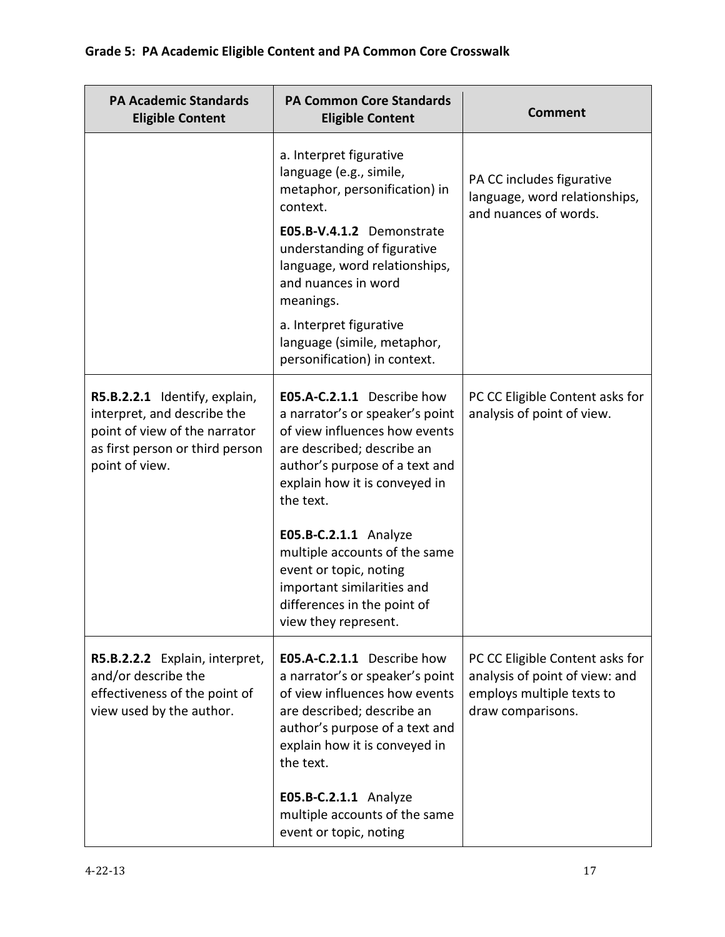| <b>PA Academic Standards</b><br><b>Eligible Content</b>                                                                                            | <b>PA Common Core Standards</b><br><b>Eligible Content</b>                                                                                                                                                                                                                                       | <b>Comment</b>                                                                                                      |
|----------------------------------------------------------------------------------------------------------------------------------------------------|--------------------------------------------------------------------------------------------------------------------------------------------------------------------------------------------------------------------------------------------------------------------------------------------------|---------------------------------------------------------------------------------------------------------------------|
|                                                                                                                                                    | a. Interpret figurative<br>language (e.g., simile,<br>metaphor, personification) in<br>context.                                                                                                                                                                                                  | PA CC includes figurative<br>language, word relationships,<br>and nuances of words.                                 |
|                                                                                                                                                    | E05.B-V.4.1.2 Demonstrate<br>understanding of figurative<br>language, word relationships,<br>and nuances in word<br>meanings.                                                                                                                                                                    |                                                                                                                     |
|                                                                                                                                                    | a. Interpret figurative<br>language (simile, metaphor,<br>personification) in context.                                                                                                                                                                                                           |                                                                                                                     |
| R5.B.2.2.1 Identify, explain,<br>interpret, and describe the<br>point of view of the narrator<br>as first person or third person<br>point of view. | E05.A-C.2.1.1 Describe how<br>a narrator's or speaker's point<br>of view influences how events<br>are described; describe an<br>author's purpose of a text and<br>explain how it is conveyed in<br>the text.<br>E05.B-C.2.1.1 Analyze<br>multiple accounts of the same<br>event or topic, noting | PC CC Eligible Content asks for<br>analysis of point of view.                                                       |
|                                                                                                                                                    | important similarities and<br>differences in the point of<br>view they represent.                                                                                                                                                                                                                |                                                                                                                     |
| R5.B.2.2.2 Explain, interpret,<br>and/or describe the<br>effectiveness of the point of<br>view used by the author.                                 | E05.A-C.2.1.1 Describe how<br>a narrator's or speaker's point<br>of view influences how events<br>are described; describe an<br>author's purpose of a text and<br>explain how it is conveyed in<br>the text.                                                                                     | PC CC Eligible Content asks for<br>analysis of point of view: and<br>employs multiple texts to<br>draw comparisons. |
|                                                                                                                                                    | E05.B-C.2.1.1 Analyze<br>multiple accounts of the same<br>event or topic, noting                                                                                                                                                                                                                 |                                                                                                                     |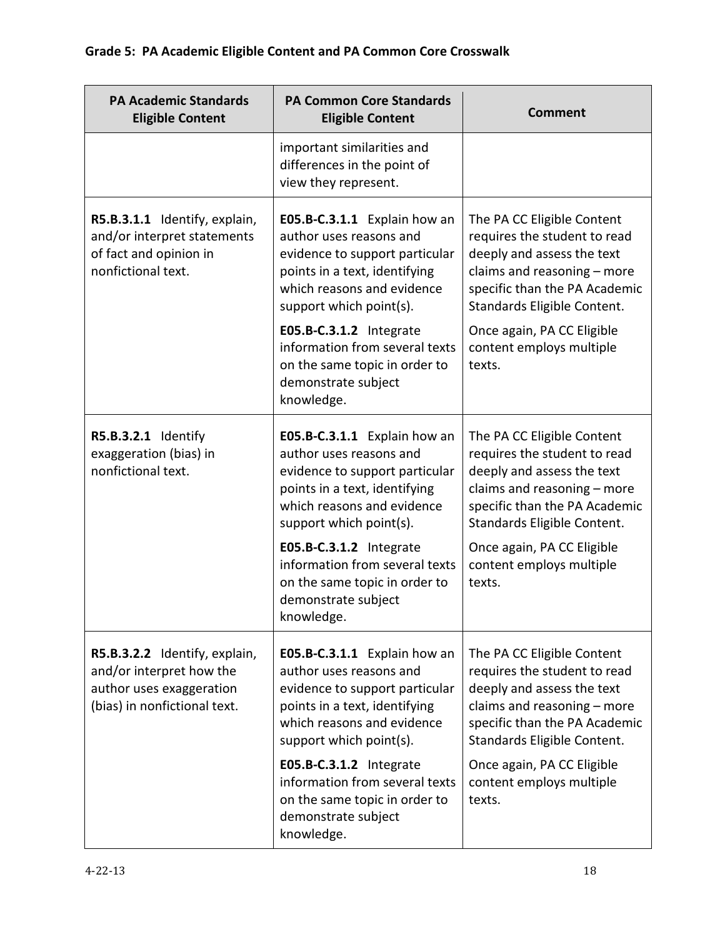| <b>PA Academic Standards</b><br><b>Eligible Content</b>                                                               | <b>PA Common Core Standards</b><br><b>Eligible Content</b>                                                                                                                          | <b>Comment</b>                                                                                                                                                                          |
|-----------------------------------------------------------------------------------------------------------------------|-------------------------------------------------------------------------------------------------------------------------------------------------------------------------------------|-----------------------------------------------------------------------------------------------------------------------------------------------------------------------------------------|
|                                                                                                                       | important similarities and<br>differences in the point of<br>view they represent.                                                                                                   |                                                                                                                                                                                         |
| R5.B.3.1.1 Identify, explain,<br>and/or interpret statements<br>of fact and opinion in<br>nonfictional text.          | E05.B-C.3.1.1 Explain how an<br>author uses reasons and<br>evidence to support particular<br>points in a text, identifying<br>which reasons and evidence<br>support which point(s). | The PA CC Eligible Content<br>requires the student to read<br>deeply and assess the text<br>claims and reasoning - more<br>specific than the PA Academic<br>Standards Eligible Content. |
|                                                                                                                       | E05.B-C.3.1.2 Integrate<br>information from several texts<br>on the same topic in order to<br>demonstrate subject<br>knowledge.                                                     | Once again, PA CC Eligible<br>content employs multiple<br>texts.                                                                                                                        |
| R5.B.3.2.1 Identify<br>exaggeration (bias) in<br>nonfictional text.                                                   | E05.B-C.3.1.1 Explain how an<br>author uses reasons and<br>evidence to support particular<br>points in a text, identifying<br>which reasons and evidence<br>support which point(s). | The PA CC Eligible Content<br>requires the student to read<br>deeply and assess the text<br>claims and reasoning - more<br>specific than the PA Academic<br>Standards Eligible Content. |
|                                                                                                                       | E05.B-C.3.1.2 Integrate<br>information from several texts<br>on the same topic in order to<br>demonstrate subject<br>knowledge.                                                     | Once again, PA CC Eligible<br>content employs multiple<br>texts.                                                                                                                        |
| R5.B.3.2.2 Identify, explain,<br>and/or interpret how the<br>author uses exaggeration<br>(bias) in nonfictional text. | E05.B-C.3.1.1 Explain how an<br>author uses reasons and<br>evidence to support particular<br>points in a text, identifying<br>which reasons and evidence<br>support which point(s). | The PA CC Eligible Content<br>requires the student to read<br>deeply and assess the text<br>claims and reasoning - more<br>specific than the PA Academic<br>Standards Eligible Content. |
|                                                                                                                       | E05.B-C.3.1.2 Integrate<br>information from several texts<br>on the same topic in order to<br>demonstrate subject<br>knowledge.                                                     | Once again, PA CC Eligible<br>content employs multiple<br>texts.                                                                                                                        |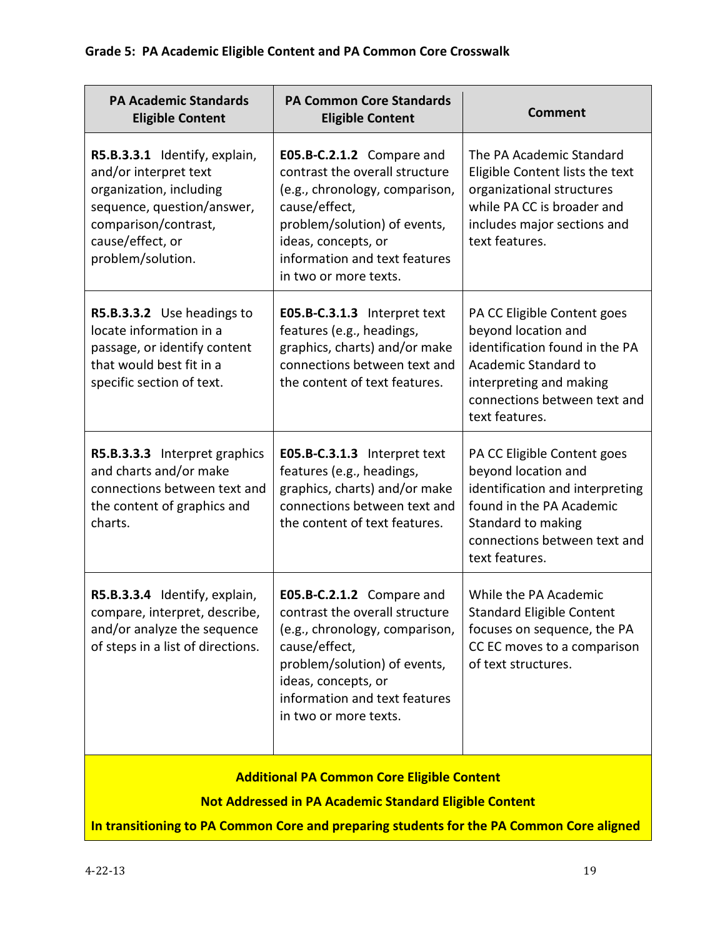| <b>PA Academic Standards</b><br><b>Eligible Content</b>                                                                                                                          | <b>PA Common Core Standards</b><br><b>Eligible Content</b>                                                                                                                                                                      | <b>Comment</b>                                                                                                                                                                            |
|----------------------------------------------------------------------------------------------------------------------------------------------------------------------------------|---------------------------------------------------------------------------------------------------------------------------------------------------------------------------------------------------------------------------------|-------------------------------------------------------------------------------------------------------------------------------------------------------------------------------------------|
| R5.B.3.3.1 Identify, explain,<br>and/or interpret text<br>organization, including<br>sequence, question/answer,<br>comparison/contrast,<br>cause/effect, or<br>problem/solution. | E05.B-C.2.1.2 Compare and<br>contrast the overall structure<br>(e.g., chronology, comparison,<br>cause/effect,<br>problem/solution) of events,<br>ideas, concepts, or<br>information and text features<br>in two or more texts. | The PA Academic Standard<br>Eligible Content lists the text<br>organizational structures<br>while PA CC is broader and<br>includes major sections and<br>text features.                   |
| R5.B.3.3.2 Use headings to<br>locate information in a<br>passage, or identify content<br>that would best fit in a<br>specific section of text.                                   | E05.B-C.3.1.3 Interpret text<br>features (e.g., headings,<br>graphics, charts) and/or make<br>connections between text and<br>the content of text features.                                                                     | PA CC Eligible Content goes<br>beyond location and<br>identification found in the PA<br>Academic Standard to<br>interpreting and making<br>connections between text and<br>text features. |
| R5.B.3.3.3 Interpret graphics<br>and charts and/or make<br>connections between text and<br>the content of graphics and<br>charts.                                                | E05.B-C.3.1.3 Interpret text<br>features (e.g., headings,<br>graphics, charts) and/or make<br>connections between text and<br>the content of text features.                                                                     | PA CC Eligible Content goes<br>beyond location and<br>identification and interpreting<br>found in the PA Academic<br>Standard to making<br>connections between text and<br>text features. |
| R5.B.3.3.4 Identify, explain,<br>compare, interpret, describe,<br>and/or analyze the sequence<br>of steps in a list of directions.                                               | E05.B-C.2.1.2 Compare and<br>contrast the overall structure<br>(e.g., chronology, comparison,<br>cause/effect,<br>problem/solution) of events,<br>ideas, concepts, or<br>information and text features<br>in two or more texts. | While the PA Academic<br><b>Standard Eligible Content</b><br>focuses on sequence, the PA<br>CC EC moves to a comparison<br>of text structures.                                            |
| <b>Additional PA Common Core Eligible Content</b>                                                                                                                                |                                                                                                                                                                                                                                 |                                                                                                                                                                                           |
| <b>Not Addressed in PA Academic Standard Eligible Content</b><br>In transitioning to PA Common Core and preparing students for the PA Common Core aligned                        |                                                                                                                                                                                                                                 |                                                                                                                                                                                           |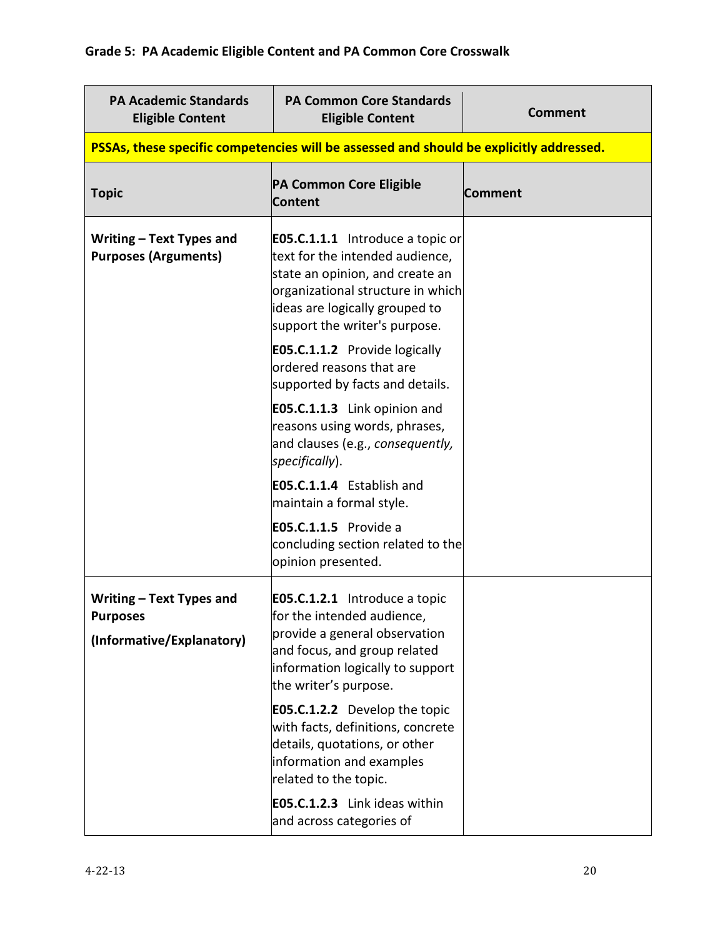| <b>PA Academic Standards</b><br><b>Eligible Content</b>                  | <b>PA Common Core Standards</b><br><b>Eligible Content</b>                                                                                                                                                            | <b>Comment</b> |
|--------------------------------------------------------------------------|-----------------------------------------------------------------------------------------------------------------------------------------------------------------------------------------------------------------------|----------------|
|                                                                          | PSSAs, these specific competencies will be assessed and should be explicitly addressed.                                                                                                                               |                |
| <b>Topic</b>                                                             | PA Common Core Eligible<br><b>Content</b>                                                                                                                                                                             | Comment        |
| Writing – Text Types and<br><b>Purposes (Arguments)</b>                  | <b>E05.C.1.1.1</b> Introduce a topic or<br>text for the intended audience,<br>state an opinion, and create an<br>organizational structure in which<br>ideas are logically grouped to<br>support the writer's purpose. |                |
|                                                                          | <b>E05.C.1.1.2</b> Provide logically<br>ordered reasons that are<br>supported by facts and details.                                                                                                                   |                |
|                                                                          | E05.C.1.1.3 Link opinion and<br>reasons using words, phrases,<br>and clauses (e.g., consequently,<br>specifically).                                                                                                   |                |
|                                                                          | E05.C.1.1.4 Establish and<br>maintain a formal style.                                                                                                                                                                 |                |
|                                                                          | <b>E05.C.1.1.5</b> Provide a<br>concluding section related to the<br>opinion presented.                                                                                                                               |                |
| Writing - Text Types and<br><b>Purposes</b><br>(Informative/Explanatory) | <b>E05.C.1.2.1</b> Introduce a topic<br>for the intended audience,<br>provide a general observation<br>and focus, and group related<br>information logically to support<br>the writer's purpose.                      |                |
|                                                                          | <b>E05.C.1.2.2</b> Develop the topic<br>with facts, definitions, concrete<br>details, quotations, or other<br>information and examples<br>related to the topic.                                                       |                |
|                                                                          | E05.C.1.2.3 Link ideas within<br>and across categories of                                                                                                                                                             |                |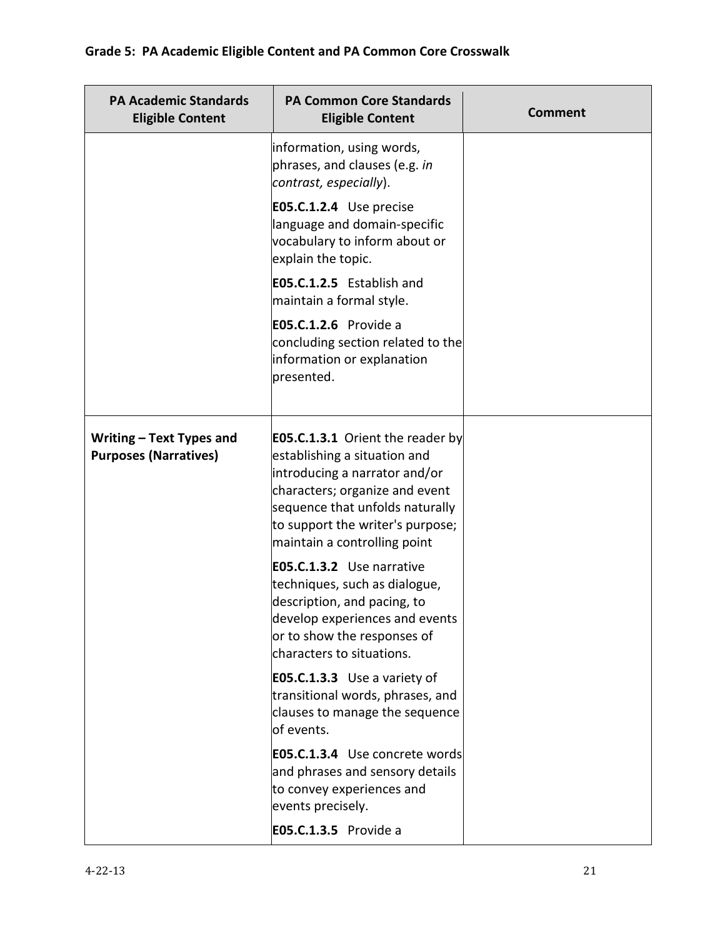| <b>PA Academic Standards</b><br><b>Eligible Content</b>  | <b>PA Common Core Standards</b><br><b>Eligible Content</b>                                                                                                                                                                                        | <b>Comment</b> |
|----------------------------------------------------------|---------------------------------------------------------------------------------------------------------------------------------------------------------------------------------------------------------------------------------------------------|----------------|
|                                                          | information, using words,<br>phrases, and clauses (e.g. in<br>contrast, especially).                                                                                                                                                              |                |
|                                                          | E05.C.1.2.4 Use precise<br>language and domain-specific<br>vocabulary to inform about or<br>explain the topic.                                                                                                                                    |                |
|                                                          | E05.C.1.2.5 Establish and<br>maintain a formal style.                                                                                                                                                                                             |                |
|                                                          | E05.C.1.2.6 Provide a<br>concluding section related to the<br>information or explanation<br>presented.                                                                                                                                            |                |
| Writing - Text Types and<br><b>Purposes (Narratives)</b> | <b>E05.C.1.3.1</b> Orient the reader by<br>establishing a situation and<br>introducing a narrator and/or<br>characters; organize and event<br>sequence that unfolds naturally<br>to support the writer's purpose;<br>maintain a controlling point |                |
|                                                          | E05.C.1.3.2 Use narrative<br>techniques, such as dialogue,<br>description, and pacing, to<br>develop experiences and events<br>or to show the responses of<br>characters to situations.                                                           |                |
|                                                          | <b>E05.C.1.3.3</b> Use a variety of<br>transitional words, phrases, and<br>clauses to manage the sequence<br>of events.                                                                                                                           |                |
|                                                          | E05.C.1.3.4 Use concrete words<br>and phrases and sensory details<br>to convey experiences and<br>events precisely.                                                                                                                               |                |
|                                                          | <b>E05.C.1.3.5</b> Provide a                                                                                                                                                                                                                      |                |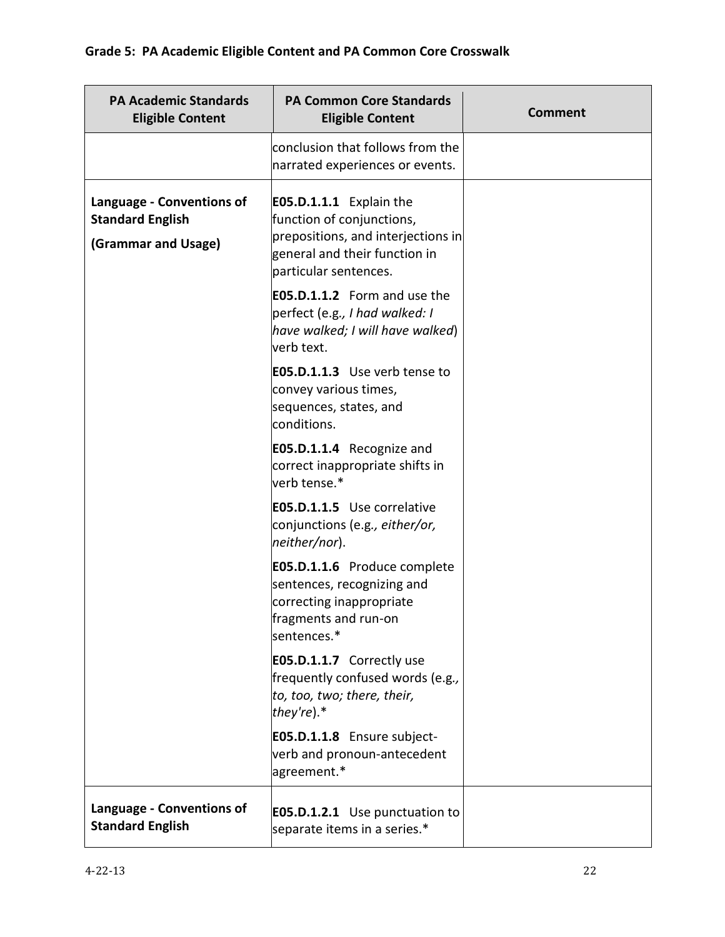| <b>PA Academic Standards</b><br><b>Eligible Content</b>                     | <b>PA Common Core Standards</b><br><b>Eligible Content</b>                                                                                                  | Comment |
|-----------------------------------------------------------------------------|-------------------------------------------------------------------------------------------------------------------------------------------------------------|---------|
|                                                                             | conclusion that follows from the<br>narrated experiences or events.                                                                                         |         |
| Language - Conventions of<br><b>Standard English</b><br>(Grammar and Usage) | <b>E05.D.1.1.1</b> Explain the<br>function of conjunctions,<br>prepositions, and interjections in<br>general and their function in<br>particular sentences. |         |
|                                                                             | <b>E05.D.1.1.2</b> Form and use the<br>perfect (e.g., I had walked: I<br>have walked; I will have walked)<br>lverb text.                                    |         |
|                                                                             | <b>E05.D.1.1.3</b> Use verb tense to<br>convey various times,<br>sequences, states, and<br>conditions.                                                      |         |
|                                                                             | <b>E05.D.1.1.4</b> Recognize and<br>correct inappropriate shifts in<br>verb tense.*                                                                         |         |
|                                                                             | <b>E05.D.1.1.5</b> Use correlative<br>conjunctions (e.g., either/or,<br>neither/nor).                                                                       |         |
|                                                                             | <b>E05.D.1.1.6</b> Produce complete<br>sentences, recognizing and<br>correcting inappropriate<br>fragments and run-on<br>sentences.*                        |         |
|                                                                             | <b>E05.D.1.1.7</b> Correctly use<br>frequently confused words (e.g.,<br>to, too, two; there, their,<br>they're).*                                           |         |
|                                                                             | E05.D.1.1.8 Ensure subject-<br>verb and pronoun-antecedent<br>agreement.*                                                                                   |         |
| Language - Conventions of<br><b>Standard English</b>                        | <b>E05.D.1.2.1</b> Use punctuation to<br>separate items in a series.*                                                                                       |         |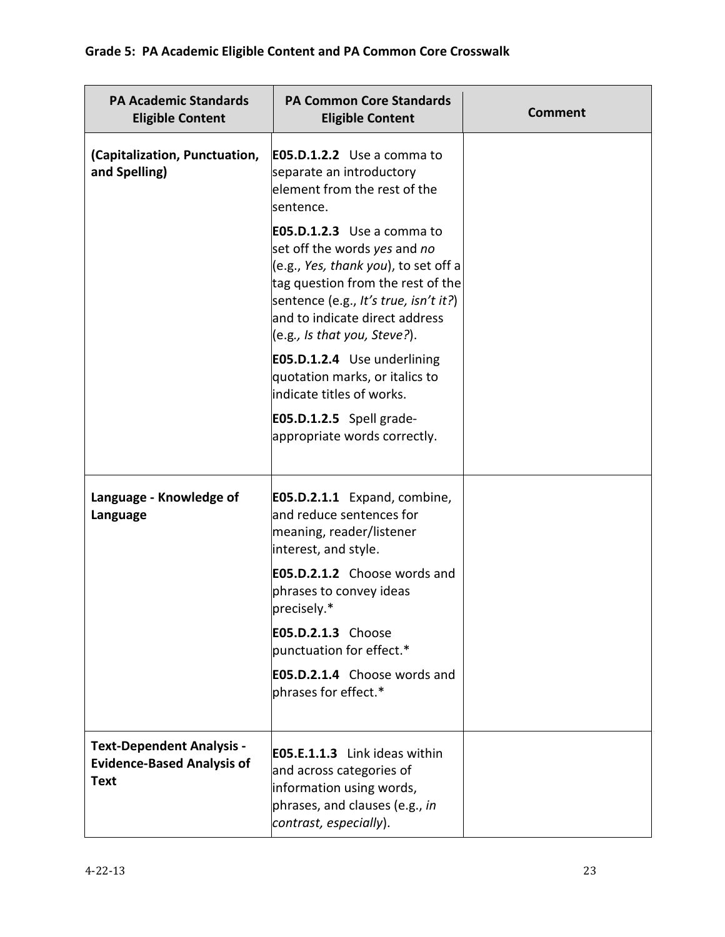| <b>PA Academic Standards</b><br><b>Eligible Content</b>                              | <b>PA Common Core Standards</b><br><b>Eligible Content</b>                                                                                                                                                                                                | <b>Comment</b> |
|--------------------------------------------------------------------------------------|-----------------------------------------------------------------------------------------------------------------------------------------------------------------------------------------------------------------------------------------------------------|----------------|
| (Capitalization, Punctuation,<br>and Spelling)                                       | <b>E05.D.1.2.2</b> Use a comma to<br>separate an introductory<br>element from the rest of the<br>sentence.                                                                                                                                                |                |
|                                                                                      | <b>E05.D.1.2.3</b> Use a comma to<br>set off the words yes and no<br>(e.g., Yes, thank you), to set off a<br>tag question from the rest of the<br>sentence (e.g., It's true, isn't it?)<br>and to indicate direct address<br>(e.g., Is that you, Steve?). |                |
|                                                                                      | E05.D.1.2.4 Use underlining<br>quotation marks, or italics to<br>indicate titles of works.                                                                                                                                                                |                |
|                                                                                      | $E05.D.1.2.5$ Spell grade-<br>appropriate words correctly.                                                                                                                                                                                                |                |
| Language - Knowledge of<br>Language                                                  | E05.D.2.1.1 Expand, combine,<br>and reduce sentences for<br>meaning, reader/listener<br>interest, and style.                                                                                                                                              |                |
|                                                                                      | <b>E05.D.2.1.2</b> Choose words and<br>phrases to convey ideas<br>precisely.*                                                                                                                                                                             |                |
|                                                                                      | E05.D.2.1.3 Choose<br>punctuation for effect.*                                                                                                                                                                                                            |                |
|                                                                                      | E05.D.2.1.4 Choose words and<br>phrases for effect.*                                                                                                                                                                                                      |                |
| <b>Text-Dependent Analysis -</b><br><b>Evidence-Based Analysis of</b><br><b>Text</b> | EO5.E.1.1.3 Link ideas within<br>and across categories of<br>information using words,<br>phrases, and clauses (e.g., in<br>contrast, especially).                                                                                                         |                |